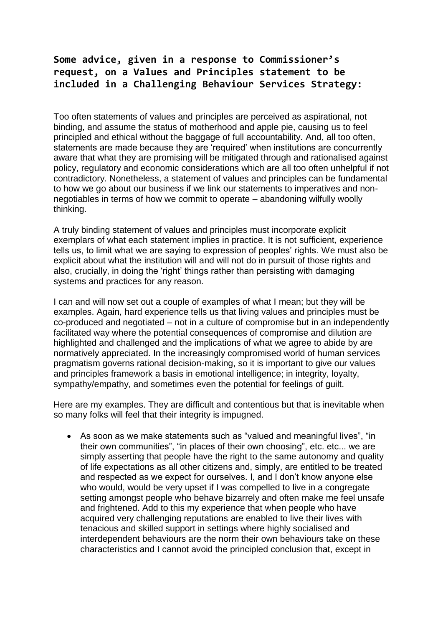## **Some advice, given in a response to Commissioner's request, on a Values and Principles statement to be included in a Challenging Behaviour Services Strategy:**

Too often statements of values and principles are perceived as aspirational, not binding, and assume the status of motherhood and apple pie, causing us to feel principled and ethical without the baggage of full accountability. And, all too often, statements are made because they are 'required' when institutions are concurrently aware that what they are promising will be mitigated through and rationalised against policy, regulatory and economic considerations which are all too often unhelpful if not contradictory. Nonetheless, a statement of values and principles can be fundamental to how we go about our business if we link our statements to imperatives and nonnegotiables in terms of how we commit to operate – abandoning wilfully woolly thinking.

A truly binding statement of values and principles must incorporate explicit exemplars of what each statement implies in practice. It is not sufficient, experience tells us, to limit what we are saying to expression of peoples' rights. We must also be explicit about what the institution will and will not do in pursuit of those rights and also, crucially, in doing the 'right' things rather than persisting with damaging systems and practices for any reason.

I can and will now set out a couple of examples of what I mean; but they will be examples. Again, hard experience tells us that living values and principles must be co-produced and negotiated – not in a culture of compromise but in an independently facilitated way where the potential consequences of compromise and dilution are highlighted and challenged and the implications of what we agree to abide by are normatively appreciated. In the increasingly compromised world of human services pragmatism governs rational decision-making, so it is important to give our values and principles framework a basis in emotional intelligence; in integrity, loyalty, sympathy/empathy, and sometimes even the potential for feelings of guilt.

Here are my examples. They are difficult and contentious but that is inevitable when so many folks will feel that their integrity is impugned.

 As soon as we make statements such as "valued and meaningful lives", "in their own communities", "in places of their own choosing", etc. etc... we are simply asserting that people have the right to the same autonomy and quality of life expectations as all other citizens and, simply, are entitled to be treated and respected as we expect for ourselves. I, and I don't know anyone else who would, would be very upset if I was compelled to live in a congregate setting amongst people who behave bizarrely and often make me feel unsafe and frightened. Add to this my experience that when people who have acquired very challenging reputations are enabled to live their lives with tenacious and skilled support in settings where highly socialised and interdependent behaviours are the norm their own behaviours take on these characteristics and I cannot avoid the principled conclusion that, except in